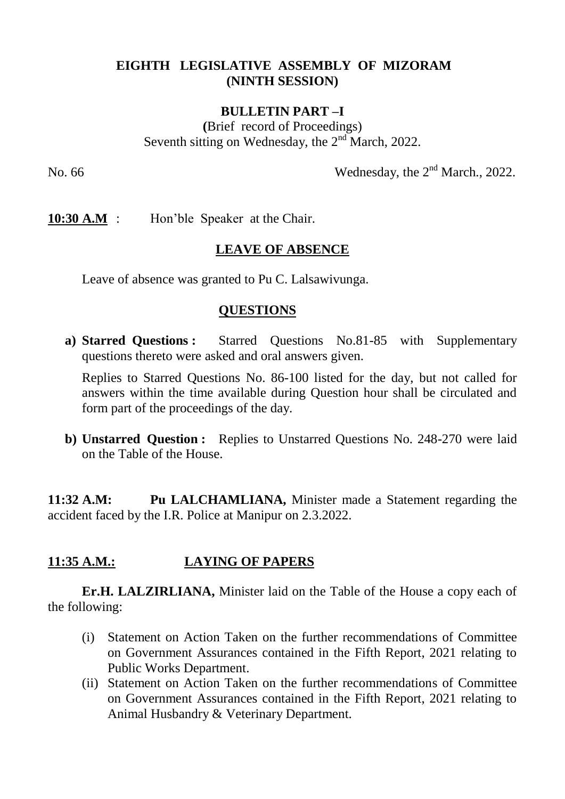#### **EIGHTH LEGISLATIVE ASSEMBLY OF MIZORAM (NINTH SESSION)**

#### **BULLETIN PART –I**

**(**Brief record of Proceedings) Seventh sitting on Wednesday, the  $2<sup>nd</sup>$  March, 2022.

No. 66 Wednesday, the 2<sup>nd</sup> March., 2022.

**10:30 A.M** : Hon'ble Speaker at the Chair.

### **LEAVE OF ABSENCE**

Leave of absence was granted to Pu C. Lalsawivunga.

#### **QUESTIONS**

**a) Starred Questions :** Starred Questions No.81-85 with Supplementary questions thereto were asked and oral answers given.

Replies to Starred Questions No. 86-100 listed for the day, but not called for answers within the time available during Question hour shall be circulated and form part of the proceedings of the day.

**b) Unstarred Question :** Replies to Unstarred Questions No. 248-270 were laid on the Table of the House.

**11:32 A.M: Pu LALCHAMLIANA,** Minister made a Statement regarding the accident faced by the I.R. Police at Manipur on 2.3.2022.

## **11:35 A.M.: LAYING OF PAPERS**

**Er.H. LALZIRLIANA,** Minister laid on the Table of the House a copy each of the following:

- (i) Statement on Action Taken on the further recommendations of Committee on Government Assurances contained in the Fifth Report, 2021 relating to Public Works Department.
- (ii) Statement on Action Taken on the further recommendations of Committee on Government Assurances contained in the Fifth Report, 2021 relating to Animal Husbandry & Veterinary Department.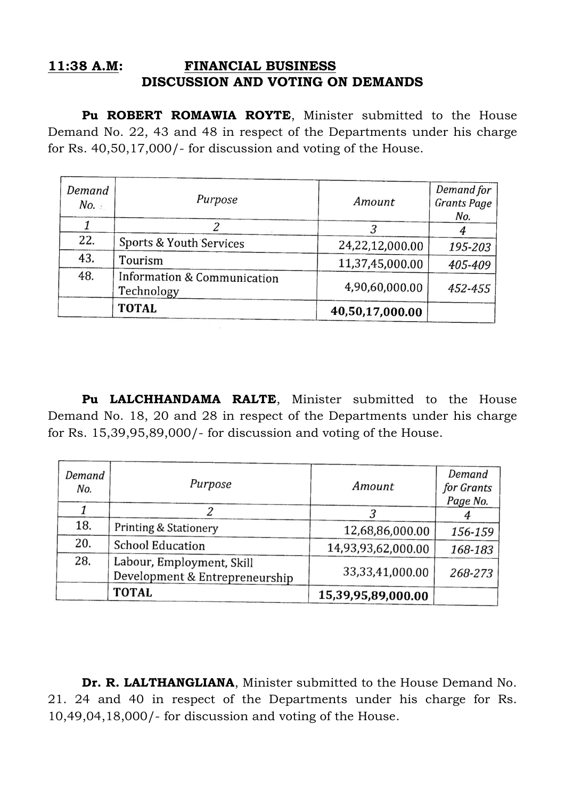#### **11:38 A.M: FINANCIAL BUSINESS DISCUSSION AND VOTING ON DEMANDS**

Pu ROBERT ROMAWIA ROYTE, Minister submitted to the House Demand No. 22, 43 and 48 in respect of the Departments under his charge for Rs. 40,50,17,000/- for discussion and voting of the House.

| Demand<br>No. | Purpose                                   | Amount          | Demand for<br><b>Grants Page</b> |
|---------------|-------------------------------------------|-----------------|----------------------------------|
|               |                                           |                 | No.                              |
| 22.           | Sports & Youth Services                   | 24,22,12,000.00 | 195-203                          |
| 43.           | Tourism                                   | 11,37,45,000.00 | 405-409                          |
| 48.           | Information & Communication<br>Technology | 4,90,60,000.00  | 452-455                          |
|               | <b>TOTAL</b>                              | 40,50,17,000.00 |                                  |

Pu LALCHHANDAMA RALTE, Minister submitted to the House Demand No. 18, 20 and 28 in respect of the Departments under his charge for Rs. 15,39,95,89,000/- for discussion and voting of the House.

| Demand<br>No. | Purpose                                                     | Amount              | Demand<br>for Grants<br>Page No. |
|---------------|-------------------------------------------------------------|---------------------|----------------------------------|
|               |                                                             |                     |                                  |
| 18.           | <b>Printing &amp; Stationery</b>                            | 12,68,86,000.00     | 156-159                          |
| 20.           | <b>School Education</b>                                     | 14,93,93,62,000.00  | 168-183                          |
| 28.           | Labour, Employment, Skill<br>Development & Entrepreneurship | 33, 33, 41, 000. 00 | 268-273                          |
|               | <b>TOTAL</b>                                                | 15,39,95,89,000.00  |                                  |

**Dr. R. LALTHANGLIANA**, Minister submitted to the House Demand No. 21. 24 and 40 in respect of the Departments under his charge for Rs. 10,49,04,18,000/- for discussion and voting of the House.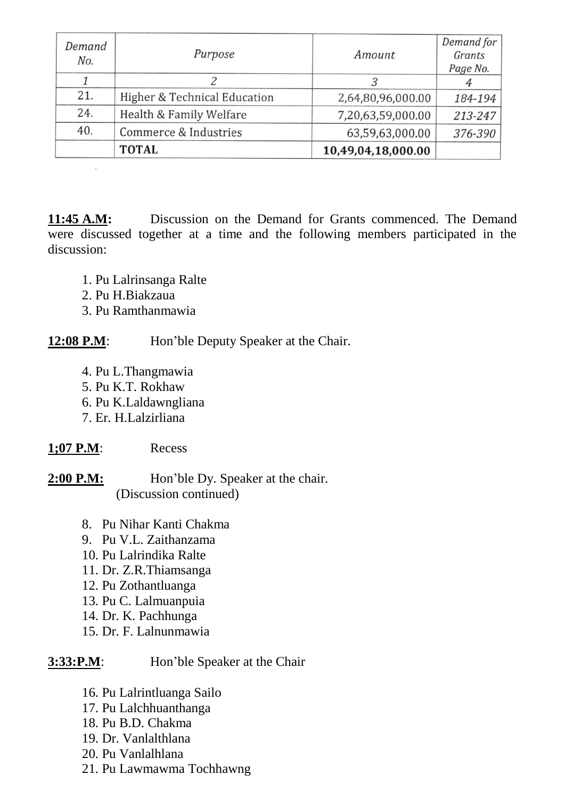| Demand<br>No. | Purpose                      | Amount             | Demand for<br>Grants<br>Page No. |
|---------------|------------------------------|--------------------|----------------------------------|
|               |                              |                    |                                  |
| 21.           | Higher & Technical Education | 2,64,80,96,000.00  | 184-194                          |
| 24.           | Health & Family Welfare      | 7,20,63,59,000.00  | 213-247                          |
| 40.           | Commerce & Industries        | 63,59,63,000.00    | 376-390                          |
|               | <b>TOTAL</b>                 | 10,49,04,18,000.00 |                                  |

**11:45 A.M:** Discussion on the Demand for Grants commenced. The Demand were discussed together at a time and the following members participated in the discussion:

- 1. Pu Lalrinsanga Ralte
- 2. Pu H.Biakzaua
- 3. Pu Ramthanmawia

**12:08 P.M:** Hon'ble Deputy Speaker at the Chair.

- 4. Pu L.Thangmawia
- 5. Pu K.T. Rokhaw
- 6. Pu K.Laldawngliana
- 7. Er. H.Lalzirliana

## **1;07 P.M**: Recess

2:00 P.M: Hon'ble Dy. Speaker at the chair. (Discussion continued)

- 8. Pu Nihar Kanti Chakma
- 9. Pu V.L. Zaithanzama
- 10. Pu Lalrindika Ralte
- 11. Dr. Z.R.Thiamsanga
- 12. Pu Zothantluanga
- 13. Pu C. Lalmuanpuia
- 14. Dr. K. Pachhunga
- 15. Dr. F. Lalnunmawia

# **3:33:P.M:** Hon'ble Speaker at the Chair

- 16. Pu Lalrintluanga Sailo
- 17. Pu Lalchhuanthanga
- 18. Pu B.D. Chakma
- 19. Dr. Vanlalthlana
- 20. Pu Vanlalhlana
- 21. Pu Lawmawma Tochhawng